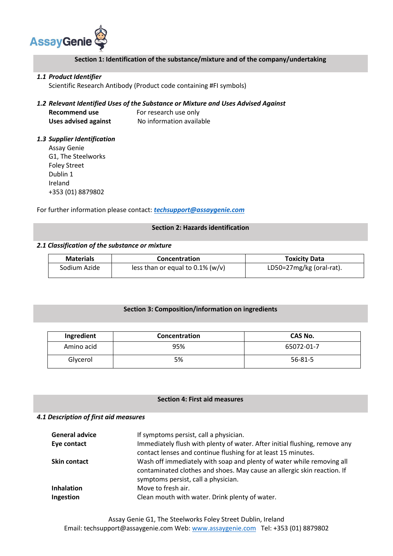

# **Section 1: Identification of the substance/mixture and of the company/undertaking**

## *1.1 Product Identifier*

Scientific Research Antibody (Product code containing #FI symbols)

# *1.2 Relevant Identified Uses of the Substance or Mixture and Uses Advised Against*

| <b>Recommend use</b>        | For research use only    |
|-----------------------------|--------------------------|
| <b>Uses advised against</b> | No information available |

## *1.3 Supplier Identification*  Assay Genie

G1, The Steelworks Foley Street Dublin 1 Ireland +353 (01) 8879802

For further information please contact: *[techsupport@assaygenie.com](mailto:techsupport@assaygenie.com)*

## **Section 2: Hazards identification**

# *2.1 Classification of the substance or mixture*

| <b>Materials</b> | Concentration                       | <b>Toxicity Data</b>     |
|------------------|-------------------------------------|--------------------------|
| Sodium Azide     | less than or equal to $0.1\%$ (w/v) | LD50=27mg/kg (oral-rat). |

# **Section 3: Composition/information on ingredients**

| Ingredient | Concentration | CAS No.    |
|------------|---------------|------------|
| Amino acid | 95%           | 65072-01-7 |
| Glycerol   | 5%            | 56-81-5    |

## **Section 4: First aid measures**

## *4.1 Description of first aid measures*

| <b>General advice</b> | If symptoms persist, call a physician.                                                                                                                                                  |
|-----------------------|-----------------------------------------------------------------------------------------------------------------------------------------------------------------------------------------|
| Eye contact           | Immediately flush with plenty of water. After initial flushing, remove any<br>contact lenses and continue flushing for at least 15 minutes.                                             |
| <b>Skin contact</b>   | Wash off immediately with soap and plenty of water while removing all<br>contaminated clothes and shoes. May cause an allergic skin reaction. If<br>symptoms persist, call a physician. |
| <b>Inhalation</b>     | Move to fresh air.                                                                                                                                                                      |
| Ingestion             | Clean mouth with water. Drink plenty of water.                                                                                                                                          |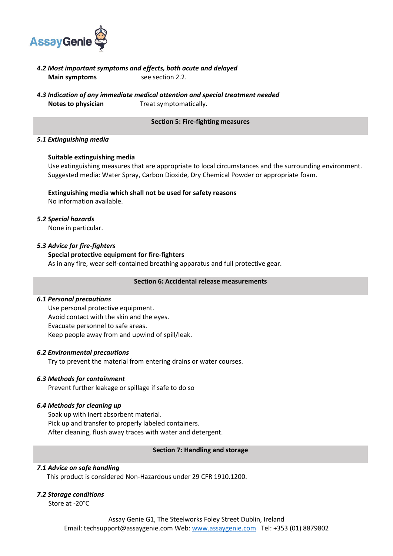

- *4.2 Most important symptoms and effects, both acute and delayed* **Main symptoms** see section 2.2.
- *4.3 Indication of any immediate medical attention and special treatment needed* **Notes to physician Treat symptomatically.**

#### **Section 5: Fire-fighting measures**

#### *5.1 Extinguishing media*

#### **Suitable extinguishing media**

Use extinguishing measures that are appropriate to local circumstances and the surrounding environment. Suggested media: Water Spray, Carbon Dioxide, Dry Chemical Powder or appropriate foam.

# **Extinguishing media which shall not be used for safety reasons**

No information available.

## *5.2 Special hazards*

None in particular.

# *5.3 Advice for fire-fighters*

## **Special protective equipment for fire-fighters**

As in any fire, wear self-contained breathing apparatus and full protective gear.

## **Section 6: Accidental release measurements**

#### *6.1 Personal precautions*

Use personal protective equipment. Avoid contact with the skin and the eyes. Evacuate personnel to safe areas. Keep people away from and upwind of spill/leak.

#### *6.2 Environmental precautions*

Try to prevent the material from entering drains or water courses.

#### *6.3 Methods for containment*

Prevent further leakage or spillage if safe to do so

# *6.4 Methods for cleaning up*

Soak up with inert absorbent material. Pick up and transfer to properly labeled containers. After cleaning, flush away traces with water and detergent.

#### **Section 7: Handling and storage**

#### *7.1 Advice on safe handling*

This product is considered Non-Hazardous under 29 CFR 1910.1200.

#### *7.2 Storage conditions*

Store at -20°C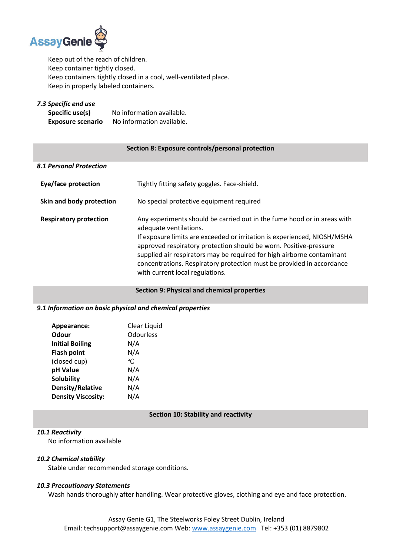

Keep out of the reach of children. Keep container tightly closed. Keep containers tightly closed in a cool, well-ventilated place. Keep in properly labeled containers.

*7.3 Specific end use*  **Specific use(s)** No information available. **Exposure scenario** No information available.

## **Section 8: Exposure controls/personal protection**

| 8.1 Personal Protection       |                                                                                                                                                                                                                                                                                                                                                                                                                                          |
|-------------------------------|------------------------------------------------------------------------------------------------------------------------------------------------------------------------------------------------------------------------------------------------------------------------------------------------------------------------------------------------------------------------------------------------------------------------------------------|
| Eye/face protection           | Tightly fitting safety goggles. Face-shield.                                                                                                                                                                                                                                                                                                                                                                                             |
| Skin and body protection      | No special protective equipment required                                                                                                                                                                                                                                                                                                                                                                                                 |
| <b>Respiratory protection</b> | Any experiments should be carried out in the fume hood or in areas with<br>adequate ventilations.<br>If exposure limits are exceeded or irritation is experienced, NIOSH/MSHA<br>approved respiratory protection should be worn. Positive-pressure<br>supplied air respirators may be required for high airborne contaminant<br>concentrations. Respiratory protection must be provided in accordance<br>with current local regulations. |

#### **Section 9: Physical and chemical properties**

# *9.1 Information on basic physical and chemical properties*

| Appearance:                     | Clear Liquid            |
|---------------------------------|-------------------------|
| Odour<br><b>Initial Boiling</b> | <b>Odourless</b><br>N/A |
| <b>Flash point</b>              | N/A                     |
| (closed cup)                    | °C                      |
| pH Value                        | N/A                     |
| <b>Solubility</b>               | N/A                     |
| <b>Density/Relative</b>         | N/A                     |
| <b>Density Viscosity:</b>       | N/A                     |

# **Section 10: Stability and reactivity**

# *10.1 Reactivity*

No information available

## *10.2 Chemical stability*

Stable under recommended storage conditions.

# *10.3 Precautionary Statements*

Wash hands thoroughly after handling. Wear protective gloves, clothing and eye and face protection.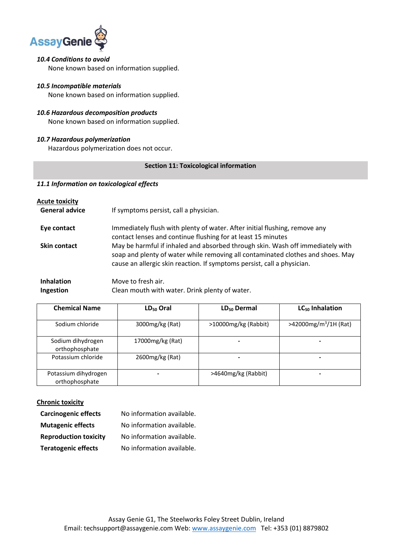

# *10.4 Conditions to avoid*

None known based on information supplied.

# *10.5 Incompatible materials*

None known based on information supplied.

## *10.6 Hazardous decomposition products*

None known based on information supplied.

# *10.7 Hazardous polymerization*

Hazardous polymerization does not occur.

## **Section 11: Toxicological information**

## *11.1 Information on toxicological effects*

| <b>Acute toxicity</b> |                                                                                                                                                                                                                                              |
|-----------------------|----------------------------------------------------------------------------------------------------------------------------------------------------------------------------------------------------------------------------------------------|
| <b>General advice</b> | If symptoms persist, call a physician.                                                                                                                                                                                                       |
| Eye contact           | Immediately flush with plenty of water. After initial flushing, remove any<br>contact lenses and continue flushing for at least 15 minutes                                                                                                   |
| <b>Skin contact</b>   | May be harmful if inhaled and absorbed through skin. Wash off immediately with<br>soap and plenty of water while removing all contaminated clothes and shoes. May<br>cause an allergic skin reaction. If symptoms persist, call a physician. |
| <b>Inhalation</b>     | Move to fresh air.                                                                                                                                                                                                                           |

| <b>Ingestion</b> | Clean mouth with water. Drink plenty of water. |
|------------------|------------------------------------------------|
|                  |                                                |

| <b>Chemical Name</b>                   | LD <sub>50</sub> Oral | LD <sub>50</sub> Dermal | LC <sub>50</sub> Inhalation       |
|----------------------------------------|-----------------------|-------------------------|-----------------------------------|
| Sodium chloride                        | 3000mg/kg (Rat)       | >10000mg/kg (Rabbit)    | >42000mg/m <sup>3</sup> /1H (Rat) |
| Sodium dihydrogen<br>orthophosphate    | 17000mg/kg (Rat)      |                         |                                   |
| Potassium chloride                     | 2600mg/kg (Rat)       |                         |                                   |
| Potassium dihydrogen<br>orthophosphate |                       | >4640mg/kg (Rabbit)     | -                                 |

# **Chronic toxicity**

| <b>Carcinogenic effects</b>  | No information available. |
|------------------------------|---------------------------|
| <b>Mutagenic effects</b>     | No information available. |
| <b>Reproduction toxicity</b> | No information available. |
| <b>Teratogenic effects</b>   | No information available. |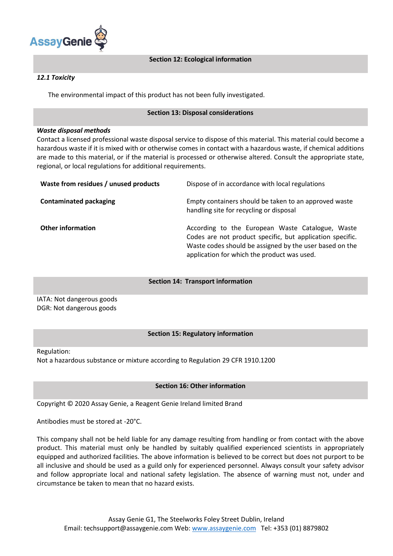

# **Section 12: Ecological information**

## *12.1 Toxicity*

The environmental impact of this product has not been fully investigated.

## **Section 13: Disposal considerations**

#### *Waste disposal methods*

Contact a licensed professional waste disposal service to dispose of this material. This material could become a hazardous waste if it is mixed with or otherwise comes in contact with a hazardous waste, if chemical additions are made to this material, or if the material is processed or otherwise altered. Consult the appropriate state, regional, or local regulations for additional requirements.

| Waste from residues / unused products | Dispose of in accordance with local regulations                                                                                                                                                                         |
|---------------------------------------|-------------------------------------------------------------------------------------------------------------------------------------------------------------------------------------------------------------------------|
| <b>Contaminated packaging</b>         | Empty containers should be taken to an approved waste<br>handling site for recycling or disposal                                                                                                                        |
| <b>Other information</b>              | According to the European Waste Catalogue, Waste<br>Codes are not product specific, but application specific.<br>Waste codes should be assigned by the user based on the<br>application for which the product was used. |

#### **Section 14: Transport information**

IATA: Not dangerous goods DGR: Not dangerous goods

# **Section 15: Regulatory information**

Regulation:

Not a hazardous substance or mixture according to Regulation 29 CFR 1910.1200

# **Section 16: Other information**

Copyright © 2020 Assay Genie, a Reagent Genie Ireland limited Brand

Antibodies must be stored at -20°C.

This company shall not be held liable for any damage resulting from handling or from contact with the above product. This material must only be handled by suitably qualified experienced scientists in appropriately equipped and authorized facilities. The above information is believed to be correct but does not purport to be all inclusive and should be used as a guild only for experienced personnel. Always consult your safety advisor and follow appropriate local and national safety legislation. The absence of warning must not, under and circumstance be taken to mean that no hazard exists.